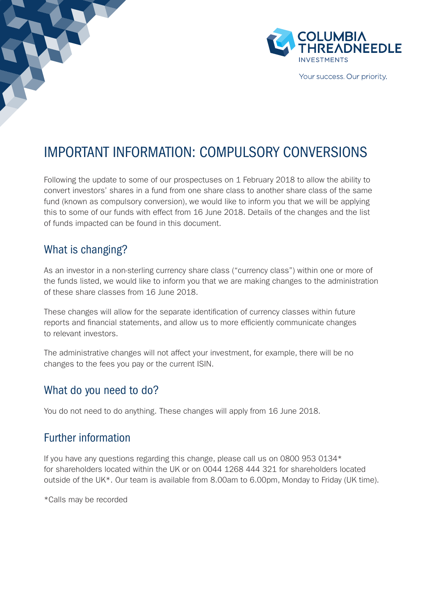

Your success. Our priority.

## IMPORTANT INFORMATION: COMPULSORY CONVERSIONS

Following the update to some of our prospectuses on 1 February 2018 to allow the ability to convert investors' shares in a fund from one share class to another share class of the same fund (known as compulsory conversion), we would like to inform you that we will be applying this to some of our funds with effect from 16 June 2018. Details of the changes and the list of funds impacted can be found in this document.

#### What is changing?

As an investor in a non-sterling currency share class ("currency class") within one or more of the funds listed, we would like to inform you that we are making changes to the administration of these share classes from 16 June 2018.

These changes will allow for the separate identification of currency classes within future reports and financial statements, and allow us to more efficiently communicate changes to relevant investors.

The administrative changes will not affect your investment, for example, there will be no changes to the fees you pay or the current ISIN.

#### What do you need to do?

You do not need to do anything. These changes will apply from 16 June 2018.

### Further information

If you have any questions regarding this change, please call us on 0800 953 0134\* for shareholders located within the UK or on 0044 1268 444 321 for shareholders located outside of the UK\*. Our team is available from 8.00am to 6.00pm, Monday to Friday (UK time).

\*Calls may be recorded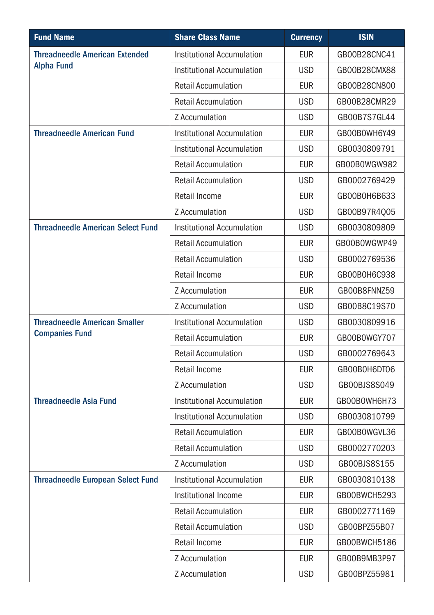| <b>Fund Name</b>                                              | <b>Share Class Name</b>    | <b>Currency</b> | <b>ISIN</b>  |
|---------------------------------------------------------------|----------------------------|-----------------|--------------|
| <b>Threadneedle American Extended</b><br><b>Alpha Fund</b>    | Institutional Accumulation | <b>EUR</b>      | GB00B28CNC41 |
|                                                               | Institutional Accumulation | <b>USD</b>      | GB00B28CMX88 |
|                                                               | <b>Retail Accumulation</b> | <b>EUR</b>      | GB00B28CN800 |
|                                                               | <b>Retail Accumulation</b> | <b>USD</b>      | GB00B28CMR29 |
|                                                               | Z Accumulation             | <b>USD</b>      | GB00B7S7GL44 |
| <b>Threadneedle American Fund</b>                             | Institutional Accumulation | <b>EUR</b>      | GB00B0WH6Y49 |
|                                                               | Institutional Accumulation | <b>USD</b>      | GB0030809791 |
|                                                               | <b>Retail Accumulation</b> | EUR             | GB00B0WGW982 |
|                                                               | <b>Retail Accumulation</b> | <b>USD</b>      | GB0002769429 |
|                                                               | Retail Income              | <b>EUR</b>      | GB00B0H6B633 |
|                                                               | Z Accumulation             | <b>USD</b>      | GB00B97R4Q05 |
| <b>Threadneedle American Select Fund</b>                      | Institutional Accumulation | <b>USD</b>      | GB0030809809 |
|                                                               | <b>Retail Accumulation</b> | <b>EUR</b>      | GB00B0WGWP49 |
|                                                               | <b>Retail Accumulation</b> | <b>USD</b>      | GB0002769536 |
|                                                               | Retail Income              | <b>EUR</b>      | GB00B0H6C938 |
|                                                               | Z Accumulation             | <b>EUR</b>      | GB00B8FNNZ59 |
|                                                               | Z Accumulation             | <b>USD</b>      | GB00B8C19S70 |
| <b>Threadneedle American Smaller</b><br><b>Companies Fund</b> | Institutional Accumulation | <b>USD</b>      | GB0030809916 |
|                                                               | <b>Retail Accumulation</b> | EUR             | GB00B0WGY707 |
|                                                               | <b>Retail Accumulation</b> | <b>USD</b>      | GB0002769643 |
|                                                               | Retail Income              | <b>EUR</b>      | GB00B0H6DT06 |
|                                                               | Z Accumulation             | <b>USD</b>      | GB00BJS8S049 |
| <b>Threadneedle Asia Fund</b>                                 | Institutional Accumulation | <b>EUR</b>      | GB00B0WH6H73 |
|                                                               | Institutional Accumulation | <b>USD</b>      | GB0030810799 |
|                                                               | <b>Retail Accumulation</b> | EUR             | GB00B0WGVL36 |
|                                                               | <b>Retail Accumulation</b> | <b>USD</b>      | GB0002770203 |
|                                                               | Z Accumulation             | <b>USD</b>      | GB00BJS8S155 |
| <b>Threadneedle European Select Fund</b>                      | Institutional Accumulation | <b>EUR</b>      | GB0030810138 |
|                                                               | Institutional Income       | <b>EUR</b>      | GB00BWCH5293 |
|                                                               | <b>Retail Accumulation</b> | <b>EUR</b>      | GB0002771169 |
|                                                               | <b>Retail Accumulation</b> | <b>USD</b>      | GB00BPZ55B07 |
|                                                               | Retail Income              | EUR             | GB00BWCH5186 |
|                                                               | Z Accumulation             | <b>EUR</b>      | GB00B9MB3P97 |
|                                                               | Z Accumulation             | <b>USD</b>      | GB00BPZ55981 |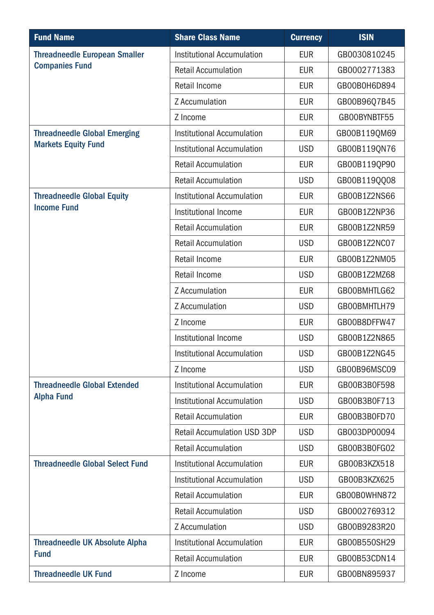| <b>Fund Name</b>                                                  | <b>Share Class Name</b>            | <b>Currency</b> | <b>ISIN</b>  |
|-------------------------------------------------------------------|------------------------------------|-----------------|--------------|
| <b>Threadneedle European Smaller</b><br><b>Companies Fund</b>     | Institutional Accumulation         | <b>EUR</b>      | GB0030810245 |
|                                                                   | <b>Retail Accumulation</b>         | <b>EUR</b>      | GB0002771383 |
|                                                                   | Retail Income                      | <b>EUR</b>      | GB00B0H6D894 |
|                                                                   | Z Accumulation                     | <b>EUR</b>      | GB00B96Q7B45 |
|                                                                   | Z Income                           | <b>EUR</b>      | GB00BYNBTF55 |
| <b>Threadneedle Global Emerging</b><br><b>Markets Equity Fund</b> | Institutional Accumulation         | <b>EUR</b>      | GB00B119QM69 |
|                                                                   | Institutional Accumulation         | <b>USD</b>      | GB00B119QN76 |
|                                                                   | <b>Retail Accumulation</b>         | EUR             | GB00B1190P90 |
|                                                                   | <b>Retail Accumulation</b>         | <b>USD</b>      | GB00B119QQ08 |
| <b>Threadneedle Global Equity</b><br><b>Income Fund</b>           | Institutional Accumulation         | <b>EUR</b>      | GB00B1Z2NS66 |
|                                                                   | Institutional Income               | <b>EUR</b>      | GB00B1Z2NP36 |
|                                                                   | <b>Retail Accumulation</b>         | EUR             | GB00B1Z2NR59 |
|                                                                   | <b>Retail Accumulation</b>         | <b>USD</b>      | GB00B1Z2NC07 |
|                                                                   | Retail Income                      | EUR             | GB00B1Z2NM05 |
|                                                                   | Retail Income                      | <b>USD</b>      | GB00B1Z2MZ68 |
|                                                                   | Z Accumulation                     | <b>EUR</b>      | GB00BMHTLG62 |
|                                                                   | Z Accumulation                     | <b>USD</b>      | GB00BMHTLH79 |
|                                                                   | Z Income                           | EUR             | GB00B8DFFW47 |
|                                                                   | Institutional Income               | <b>USD</b>      | GB00B1Z2N865 |
|                                                                   | Institutional Accumulation         | <b>USD</b>      | GB00B1Z2NG45 |
|                                                                   | Z Income                           | <b>USD</b>      | GB00B96MSC09 |
| <b>Threadneedle Global Extended</b><br><b>Alpha Fund</b>          | Institutional Accumulation         | EUR             | GB00B3B0F598 |
|                                                                   | Institutional Accumulation         | <b>USD</b>      | GB00B3B0F713 |
|                                                                   | <b>Retail Accumulation</b>         | <b>EUR</b>      | GB00B3B0FD70 |
|                                                                   | <b>Retail Accumulation USD 3DP</b> | <b>USD</b>      | GB003DP00094 |
|                                                                   | <b>Retail Accumulation</b>         | <b>USD</b>      | GB00B3B0FG02 |
| <b>Threadneedle Global Select Fund</b>                            | Institutional Accumulation         | <b>EUR</b>      | GB00B3KZX518 |
|                                                                   | Institutional Accumulation         | <b>USD</b>      | GB00B3KZX625 |
|                                                                   | <b>Retail Accumulation</b>         | <b>EUR</b>      | GB00B0WHN872 |
|                                                                   | <b>Retail Accumulation</b>         | <b>USD</b>      | GB0002769312 |
|                                                                   | Z Accumulation                     | <b>USD</b>      | GB00B9283R20 |
| <b>Threadneedle UK Absolute Alpha</b><br><b>Fund</b>              | Institutional Accumulation         | <b>EUR</b>      | GB00B550SH29 |
|                                                                   | <b>Retail Accumulation</b>         | <b>EUR</b>      | GB00B53CDN14 |
| <b>Threadneedle UK Fund</b>                                       | Z Income                           | <b>EUR</b>      | GB00BN895937 |